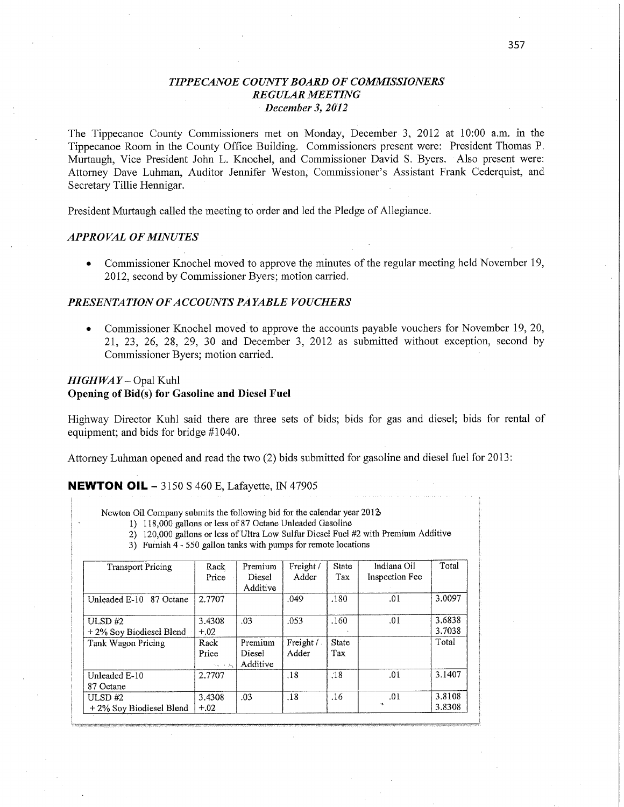## *TIPPECANOE COUNTY BOARD* OF *COMMISSIONERS REGULAR MEETING December* 3, *2012*

The Tippecanoe County Commissioners met on Monday, December 3, 2012 at 10:00 am. in the Tippecanoe Room in the County **Office** Building. Commissioners present were: President Thomas P. Murtaugh, Vice President John L. Knochel, and Commissioner David S. Byers. Also present were: Attorney Dave Luhman, Auditor Jennifer Weston, Commissioner's Assistant Frank Cederquist, and Secretary Tillie Hennigar.

President Murtaugh called the meeting to order and led the Pledge of Allegiance.

#### *APPROVAL* OF *MINUTES*

• Commissioner Knochel moved to approve the minutes of the regular meeting held November 19, 2012, second by Commissioner Byers; motion carried.

#### *PRESENTATION* OF *ACCOUNT S PAYABLE VOUCHERS*

• Commissioner Knochel moved to approve the accounts payable vouchers for November 19, 20, 21, 23, 26, 28, 29, 30 and December 3, 2012 as submitted without exception, second by Commissioner Byers; motion carried

### *HIGHWA Y* **—** Opal Kuhl Opening of Bid(s) for **Gasoline** and Diesel **Fuel**

Highway Director Kuhl said there are three sets of bids; bids for gas and diesel; bids for rental of equipment; and bids for bridge #1040.

Attorney Luhman opened and read the two (2) bids submitted for gasoline and diesel fuel for 2013:

#### **NEWTON** OIL — 3150 **S** 460 E, Lafayette, IN 47905

Newton Oil **Company** submits the following bid for the **calendar** year 2012

- 1) 118, 000 gallons or **less** of *87* Octane **Unleaded** Gasoline
- 2) 120,000 gallons or **less** of **Ultra** Low **Sulfur Diesel Fuel** #2 with Premium Additive
- 3) Furnish 4 550 gallon tanks with pumps for remote locations

| <b>Transport Pricing</b>   | Rack     | Premium  | Freight / | <b>State</b> | Indiana Oil    | Total  |
|----------------------------|----------|----------|-----------|--------------|----------------|--------|
|                            | Price    | Diesel   | Adder     | Tax          | Inspection Fee |        |
|                            |          | Additive |           |              |                |        |
| Unleaded E-10<br>87 Octane | 2,7707   |          | .049      | .180         | .01            | 3.0097 |
| ULSD $#2$                  | 3.4308   | .03      | .053      | .160         | .01            | 3.6838 |
| +2% Soy Biodiesel Blend    | $+.02$   |          |           |              |                | 3.7038 |
| Tank Wagon Pricing         | Rack     | Premium  | Freight / | State        |                | Total  |
|                            | Price    | Diesel   | Adder     | Tax          |                |        |
|                            | na se du | Additive |           |              |                |        |
| Unleaded E-10              | 2.7707   |          | .18       | .18          | .01            | 3.1407 |
| 87 Octane                  |          |          |           |              |                |        |
| ULSD $#2$                  | 3.4308   | .03      | .18       | .16          | .01            | 3.8108 |
| +2% Soy Biodiesel Blend    | $+.02$   |          |           |              | t.             | 3.8308 |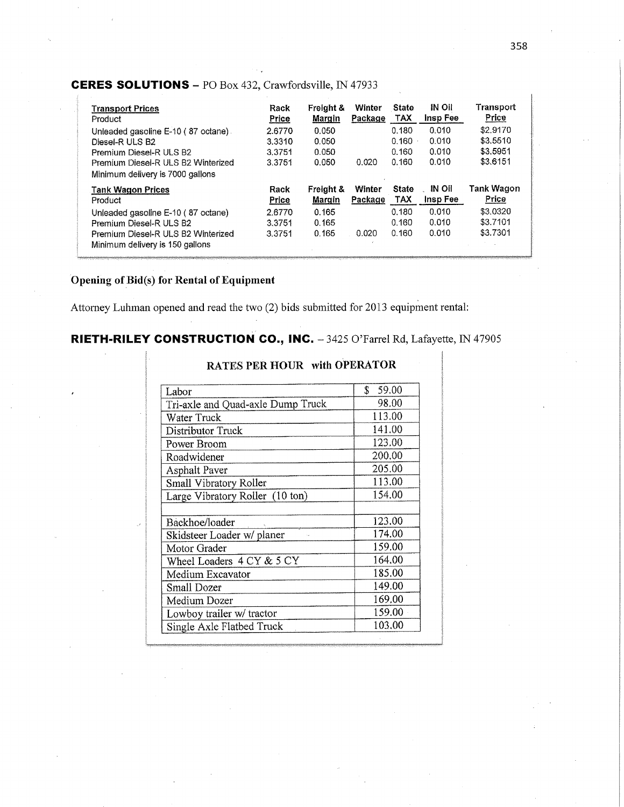# **CERES SOLUTIONS** - PO Box 432, Crawfordsville, IN 47933

| <b>Transport Prices</b><br>Product                                     | Rack<br>Price    | Freight &<br>Margin | Winter<br>Package | <b>State</b><br>TAX | IN Oil<br>Insp Fee | Transport<br>Price   |
|------------------------------------------------------------------------|------------------|---------------------|-------------------|---------------------|--------------------|----------------------|
| Unleaded gasoline E-10 (87 octane).                                    | 2.6770           | 0.050               |                   | 0.180<br>0.160      | 0.010<br>0.010     | \$2.9170<br>\$3,5510 |
| Diesel-R ULS B2<br>Premium Diesel-R ULS B2                             | 3.3310<br>3.3751 | 0.050<br>0.050      |                   | 0.160               | 0.010              | \$3,5951             |
| Premium Diesel-R ULS B2 Winterized<br>Minimum delivery is 7000 gallons | 3.3751           | 0.050               | 0.020             | 0.160               | 0.010              | \$3,6151             |
| <b>Tank Wagon Prices</b>                                               | Rack             | Freight &           | Winter            | <b>State</b>        | IN OII             | Tank Wagon           |
| Product                                                                | Price            | Margin              | Package           | <b>TAX</b>          | Insp Fee           | Price                |
| Unleaded gasoline E-10 (87 octane)                                     | 2.6770           | 0.165               |                   | 0.180               | 0.010              | \$3.0320             |
| Premium Diesel-R ULS B2<br>Premium Diesel-R ULS B2 Winterized          | 3.3751<br>3.3751 | 0.165<br>0.165      | 0.020             | 0.160<br>0.160      | 0.010<br>0.010     | \$3.7101<br>\$3.7301 |

# Opening of Bid(s) for Rental of Equipment

Attorney Luhman opened and read the two (2) bids submitted for 2013 equipment rental:

# RIETH-RILEY CONSTRUCTION CO., INC. - 3425 O'Farrel Rd, Lafayette, IN 47905

| Labor                             | \$59.00 |  |  |  |
|-----------------------------------|---------|--|--|--|
| Tri-axle and Quad-axle Dump Truck | 98.00   |  |  |  |
| Water Truck                       | 113.00  |  |  |  |
| Distributor Truck                 | 141.00  |  |  |  |
| Power Broom                       | 123.00  |  |  |  |
| Roadwidener                       | 200,00  |  |  |  |
| <b>Asphalt Paver</b>              | 205.00  |  |  |  |
| Small Vibratory Roller            | 113.00  |  |  |  |
| Large Vibratory Roller (10 ton)   | 154.00  |  |  |  |
|                                   |         |  |  |  |
| Backhoe/loader                    | 123.00  |  |  |  |
| Skidsteer Loader w/ planer        | 174.00  |  |  |  |
| Motor Grader                      | 159.00  |  |  |  |
| Wheel Loaders 4 CY & 5 CY         | 164.00  |  |  |  |
| Medium Excavator                  | 185.00  |  |  |  |
| Small Dozer                       | 149.00  |  |  |  |
| Medium Dozer                      | 169.00  |  |  |  |
| Lowboy trailer w/ tractor         | 159.00  |  |  |  |
| Single Axle Flatbed Truck         | 103,00  |  |  |  |

## RATES PER HOUR with OPERATOR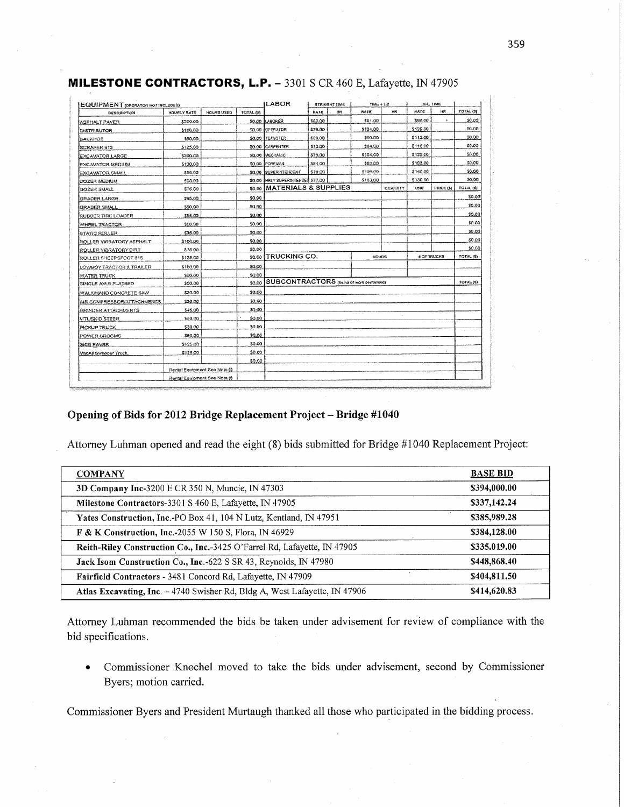| <b>EQUIPMENT</b> (OPERATOR NOT INCLUDED) |                               |                   |           | LABOR                                   |         | <b>STRAIGHT TIME</b> | 7時紀+1/2  |           |             | DOL. TIME          |                  |
|------------------------------------------|-------------------------------|-------------------|-----------|-----------------------------------------|---------|----------------------|----------|-----------|-------------|--------------------|------------------|
| <b>DESCRIPTION</b>                       | MOURLY RATE                   | <b>HOURS USED</b> | TOTAL (5) |                                         | RATE    | HR                   | RATE     | <b>XR</b> | <b>BATE</b> | нR                 | TOTAL (S)        |
| ASPHALT PAVER                            | \$209.00                      |                   | \$0.00    | LABOHER                                 | \$62.00 |                      | \$81.00  |           | \$99.00     | ٠                  | \$0.00           |
| DISTRIBUTOR                              | \$100.00                      |                   | \$0.00    | CPERATOR                                | \$79.00 |                      | \$104.00 |           | \$129.60    |                    | \$0.00           |
| BACKHOE                                  | \$60.00                       |                   | \$0.00    | <b>ITEAMSTER</b>                        | \$88.00 |                      | \$90.00  |           | \$112.00    |                    | 50.00            |
| SORAPER 810                              | \$125.00                      |                   |           | \$0.00   CARPENTER                      | \$73.00 |                      | \$94.00  |           | \$116.00    |                    | \$0.00           |
| EXCAVATOR LARGE                          | \$200.00                      |                   |           | \$0.00 BAECHANIC                        | \$79.00 |                      | \$104.00 |           | \$129.00    |                    | \$0.00           |
| EXCAVATOR MEDIUM                         | \$130.00                      |                   | \$0.00    | FOREWAN                                 | \$64.00 |                      | \$83.00  |           | \$103.00    |                    | \$0.00           |
| <b>EXCAVATOR SMALL</b>                   | \$90.00                       |                   | \$0.00    | <b>SUPERMIENCENT</b>                    | \$79.00 |                      | \$109,00 |           | \$140.00    |                    | \$0,00           |
| <b>DOZER MEDIUM</b>                      | \$90.00                       |                   | \$0.00    | HRLY SUPERSITENDES \$77.00              |         |                      | \$103.00 |           | \$130.00    |                    | \$0.00           |
| DOZER SMALL                              | \$75.00                       |                   | \$0.00    | <b>IMATERIALS &amp; SUPPLIES</b>        |         |                      |          | QUANTITY  | UNIT        | <b>FRICE (S)</b>   | TOTAL (\$)       |
| GRADER LARGE                             | \$95.00                       |                   | \$0.00    |                                         |         |                      |          |           |             |                    | \$0.00           |
| GRACER SMALL                             | \$50.00                       |                   | 50.00     |                                         |         |                      |          |           |             |                    | \$0.00           |
| <b><i>RUBBER TIRE LOADER</i></b>         | \$85.00                       |                   | \$0.00    |                                         |         |                      |          |           |             |                    | \$0.00           |
| WHEEL TRACTOR                            | \$50.00                       |                   | \$0.00    |                                         |         |                      |          |           |             |                    | \$0.00           |
| <b>STATIC ROLLER</b>                     | \$35.00                       |                   | \$0.00    |                                         |         |                      |          |           |             |                    | \$0.00           |
| ROLLER VIBRATORY ASPHALT                 | <b>S100.00</b>                |                   | \$0.00    |                                         |         |                      |          |           |             |                    | \$0.00           |
| ROLLER VIBRATORY DIRT                    | \$75.00                       |                   | \$0.00    |                                         |         |                      |          |           |             |                    | \$0.00           |
| ROLLER SHEEPSFOOT 815                    | \$125.00                      |                   | \$0.00    | <b>TRUCKING CO.</b>                     |         |                      | HOURS    |           |             | <b>S OF TRUCKS</b> | <b>TOTAL (S)</b> |
| LOWBOY TRACTOR & TRAILER                 | \$100.00                      |                   | \$0.00    |                                         |         |                      |          |           |             |                    |                  |
| <b>WATER TRUCK</b>                       | \$50.00                       |                   | \$0.00    |                                         |         |                      |          |           |             |                    |                  |
| SINGLE AXLE FLATBED                      | \$50.00                       |                   | \$0.00    | SUBCONTRACTORS (Nama of work performed) |         |                      |          |           | TOTAL (5)   |                    |                  |
| WALKA AND CONCRETE SAW                   | \$30.00                       |                   | \$0.00    |                                         |         |                      |          |           |             |                    |                  |
| AIR COMPRESSORIATTACHMENTS               | \$20.00                       |                   | \$0.00    |                                         |         |                      |          |           |             |                    |                  |
| GRINDER ATTACHMENTS                      | \$45.00                       |                   | \$0.00    |                                         |         |                      |          |           |             |                    |                  |
| <b>MTL/SKID STEER</b>                    | \$50.00                       |                   | 50.00     |                                         |         |                      |          |           |             |                    |                  |
| PICKUP TRUCK                             | \$30.00                       |                   | \$0.00    |                                         |         |                      |          |           |             |                    |                  |
| POWER BROOMS                             | \$50.00                       |                   | \$0.00    |                                         |         |                      |          |           |             |                    |                  |
| SIDE PAVER                               | \$125.00                      |                   | \$0.00    |                                         |         |                      |          |           |             |                    |                  |
| VacAll Sweeper Truck.                    | \$126.00                      |                   | 50.00     |                                         |         |                      |          |           |             |                    |                  |
|                                          |                               |                   | 30.00     |                                         |         |                      |          |           |             |                    |                  |
|                                          | Rental Equipment Sea Nota (i) |                   |           |                                         |         |                      |          |           |             |                    |                  |
|                                          | Rental Equipment See Note (i) |                   |           |                                         |         |                      |          |           |             |                    |                  |

# MILESTONE CONTRACTORS, L.P. - 3301 S CR 460 E, Lafayette, IN 47905

#### Opening of Bids for 2012 Bridge Replacement Project - Bridge #1040

Attorney Luhman opened and read the eight (8) bids submitted for Bridge #1040 Replacement Project:

| <b>COMPANY</b>                                                            | <b>BASE BID</b> |
|---------------------------------------------------------------------------|-----------------|
| 3D Company Inc-3200 E CR 350 N, Muncie, IN 47303                          | \$394,000.00    |
| Milestone Contractors-3301 S 460 E, Lafayette, IN 47905                   | \$337,142.24    |
| Yates Construction, Inc.-PO Box 41, 104 N Lutz, Kentland, IN 47951        | \$385,989.28    |
| <b>F &amp; K Construction, Inc.-2055 W 150 S, Flora, IN 46929</b>         | \$384,128.00    |
| Reith-Riley Construction Co., Inc.-3425 O'Farrel Rd, Lafayette, IN 47905  | \$335.019.00    |
| Jack Isom Construction Co., Inc.-622 S SR 43, Reynolds, IN 47980          | \$448,868.40    |
| Fairfield Contractors - 3481 Concord Rd, Lafayette, IN 47909              | \$404,811.50    |
| Atlas Excavating, Inc. -4740 Swisher Rd, Bldg A, West Lafayette, IN 47906 | \$414,620.83    |

Attorney Luhman recommended the bids be taken under advisement for review of compliance with the bid specifications.

Commissioner Knochel moved to take the bids under advisement, second by Commissioner  $\bullet$ Byers; motion carried.

Commissioner Byers and President Murtaugh thanked all those who participated in the bidding process.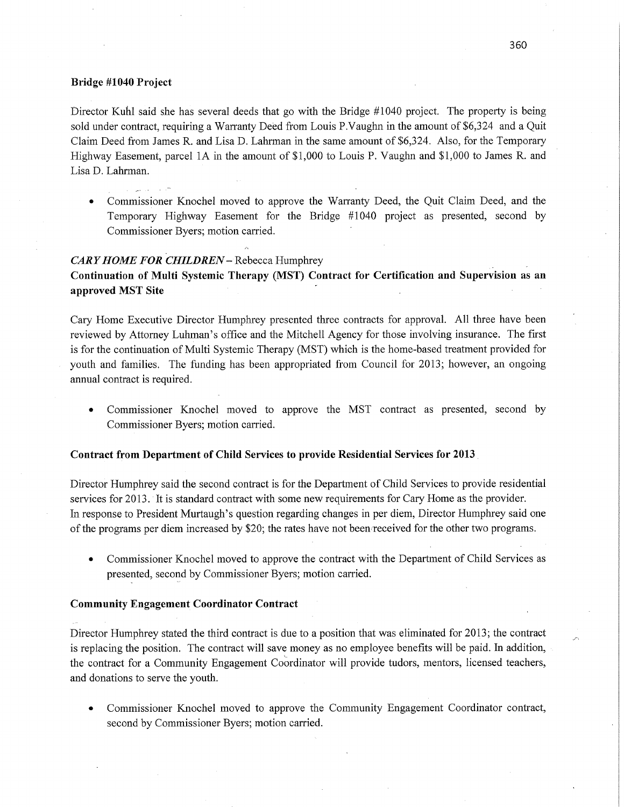#### Bridge **#1040 Project**

Director Kuhl said she has several deeds that go with the Bridge #1040 project. The property is being sold under contract, requiring a Warranty Deed from Louis P.Vaughn in the amount of \$6,324 and a Quit Claim Deed from James R. and Lisa D. Lahrman in the same amount of \$6,324. Also, for the Temporary Highway Easement, parcel 1A in the amount of \$1,000 to Louis P. Vaughn and \$1,000 to James R. and Lisa D. Lahrman.

**0** Commissioner Knochel moved to approve the Warranty Deed, the Quit Claim Deed, and the Temporary Highway Easement for the Bridge #1040 project as presented, second by Commissioner Byers; motion carried

#### *CARY HOME FOR CHILDREN* – Rebecca Humphrey

**Continuation** of Multi **Systemic Therapy** (MST) **Contract** for **Certification** and Supervision as an **approved** MST Site *-* '

Cary Home Executive Director Humphrey presented three contracts for approval. All three have been reviewed by Attorney Luhman's office and the Mitchell Agency for those involving insurance. The first is for the continuation of Multi Systemic Therapy (MST) Which is the home-based treatment provided for youth and families. The funding has been appropriated from Council for 2013; however, an ongoing annual contract is required.

*0* Commissioner Knochel moved to approve the MST contract as presented, second by Commissioner Byers; motion carried.

#### **Contract** from **Department** of Child **Services** to **provide Residential Services** for **2013** '

Director Humphrey said the second contract is for the Department of Child Services to provide residential services for 2013. 'It is standard contract with some new requirements for Cary Home as the provider. In response to President Murtaugh's question regarding changes in per diem, Director Humphrey said one of the programs per diem increased by \$20; the rates have not been received for the other two programs.

• Commissioner Knochel moved to approve the contract with the Department of Child Services as presented, second by Commissioner Byers; motion carried.

#### Community **Engagement Coordinator Contract**

Director Humphrey stated the third contract is due to a position that was eliminated for 2013; the contract is replacing the position. The contract will save money as no employee benefits will be paid. In addition, ' the contract for a Community Engagement Coordinator will provide tudors, mentors, licensed teachers, and donations to serve the youth.

*0* Commissioner Knochel moved to approve the Community Engagement Coordinator contract, second by Commissioner Byers; motion carried.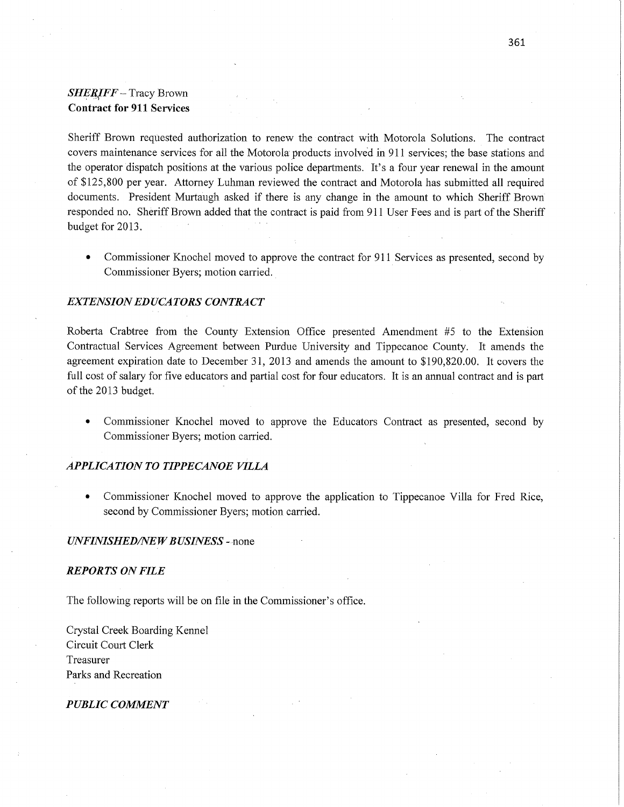## *SHERIFF* **~** Tracy Brown **Contract** for 911 **Services**

Sheriff Brown requested authorization to renew the contract with Motorola Solutions. The contract covers maintenance services for all the Motorola products involved in 911 services; the base stations and the operator dispatch positions at the various police departments. It's a four year renewal in the **amount**  of \$125,800 per year. Attorney Luhman reviewed the contract and Motorola has submitted all required documents. President Murtaugh asked if there is any change in the amount to which Sheriff. Brown responded no. Sheriff Brown added that the contract is paid from 911 User Fees and is part of the Sheriff budget for 2013.

• Commissioner Knochel moved to approve the contract for 911 Services as presented, second by Commissioner Byers; motion carried.

### *EXTENSION* ED UCA *TORS CONTRACT*

Roberta Crabtree from the County Extension **Office** presented **Amendment** #5 to the Extenéion Contractual Services Agreement between Purdue University and Tippecanoe County. It amends the agreement expiration date to December 31, 2013 and amends the amount to \$190,820.00. It covers the full cost of salary for five educators and partial cost for four educators. It is an annual contract and is part of the 2013 budget.

**0** Commissioner Knochel moved to approve the Educators **Contract** as presented, second by Commissioner Byers; motion carried.

#### *APPLICATION* TO *TIPPECANOE VIILA*

**0** Commissioner Knochel moved to approve the application to Tippecanoe Villa for Fred Rice, second by Commissioner Byers; **motion** carried.

#### *UNFINISHED/NEW BUSINESS* -- none

#### *REPORTS* ON *FILE*

The following reports will be on file in the Commissioner's office.

Crystal Creek Boarding Kennel Circuit Court Clerk Treasurer **Parks** and Recreation-

#### *PUBLIC COMMENT*